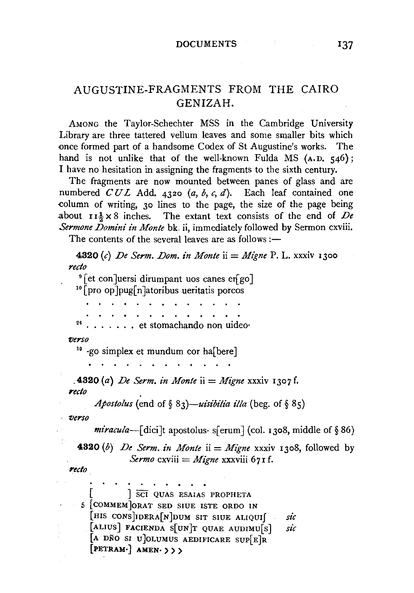## AUGUSTINE-FRAGMENTS FROM THE CAIRO GENIZAH.

AMONG the Taylor-Schechter MSS in the Cambridge University Library are three tattered vellum leaves and some smaller bits which once formed part of a handsome Codex of St Augustine's works. The hand is not unlike that of the well-known Fulda MS (A.D. 546); I have no hesitation in assigning the fragments to the sixth century.

The fragments are now mounted between panes of glass and are numbered  $CUL$  Add. 4320 (a, b, c, d). Each leaf contained one column of writing, 30 lines to the page, the size of the page being about  $I_7^1 \times 8$  inches. The extant text consists of the end of De Sermone Domini in Monte bk. ii, immediately followed by Sermon cxviii.

The contents of the several leaves are as follows :-

4320 (c) De Serm. Dom. in Monte ii = Migne P. L. xxxiv 1300 recto <sup>9</sup> [et con]uersi dirumpant uos canes er[go] <sup>10</sup> pro op pug n atoribus ueritatis porcos .. et stomachando non uideoverso <sup>10</sup> -go simplex et mundum cor ha[bere] **4320** (a) De Serm. in Monte ii = Migne xxxiv 1307 f. recto *Apostolus* (end of § 83)—*uisibilia illa* (beg. of § 85) verso *miracula*—[dici]t apostolus· s[erum] (col. 1308, middle of §86) **4320** (b) De Serm, in Monte ii = Migne xxxiv 1308, followed by Sermo cxviii = Migne xxxviii 67 I f. recto **SCI OUAS ESAIAS PROPHETA** 5 [COMMEM ORAT SED SIUE ISTE ORDO IN [HIS CONS DERA[N]DUM SIT SIUE ALIQUI sic [ALIUS] FACIENDA S[UN]T QUAE AUDIMUS] sic [A DÑO SI U OLUMUS AEDIFICARE SUPER [PETRAM.] AMEN. > > >